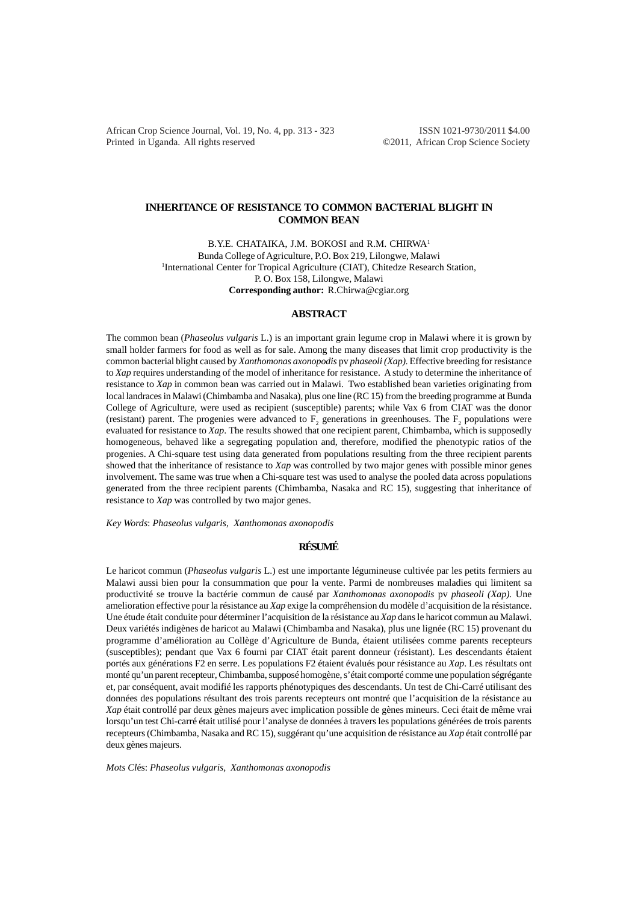African Crop Science Journal, Vol. 19, No. 4, pp. 313 - 323 ISSN 1021-9730/2011 \$4.00 Printed in Uganda. All rights reserved ©2011, African Crop Science Society

# **INHERITANCE OF RESISTANCE TO COMMON BACTERIAL BLIGHT IN COMMON BEAN**

B.Y.E. CHATAIKA, J.M. BOKOSI and R.M. CHIRWA<sup>1</sup> Bunda College of Agriculture, P.O. Box 219, Lilongwe, Malawi <sup>1</sup>International Center for Tropical Agriculture (CIAT), Chitedze Research Station, P. O. Box 158, Lilongwe, Malawi **Corresponding author:** R.Chirwa@cgiar.org

## **ABSTRACT**

The common bean (*Phaseolus vulgaris* L.) is an important grain legume crop in Malawi where it is grown by small holder farmers for food as well as for sale. Among the many diseases that limit crop productivity is the common bacterial blight caused by *Xanthomonas axonopodis* pv *phaseoli (Xap).* Effective breeding for resistance to *Xap* requires understanding of the model of inheritance for resistance. A study to determine the inheritance of resistance to *Xap* in common bean was carried out in Malawi. Two established bean varieties originating from local landraces in Malawi (Chimbamba and Nasaka), plus one line (RC 15) from the breeding programme at Bunda College of Agriculture, were used as recipient (susceptible) parents; while Vax 6 from CIAT was the donor (resistant) parent. The progenies were advanced to  $F_2$  generations in greenhouses. The  $F_2$  populations were evaluated for resistance to *Xap*. The results showed that one recipient parent, Chimbamba, which is supposedly homogeneous, behaved like a segregating population and, therefore, modified the phenotypic ratios of the progenies. A Chi-square test using data generated from populations resulting from the three recipient parents showed that the inheritance of resistance to *Xap* was controlled by two major genes with possible minor genes involvement. The same was true when a Chi-square test was used to analyse the pooled data across populations generated from the three recipient parents (Chimbamba, Nasaka and RC 15), suggesting that inheritance of resistance to *Xap* was controlled by two major genes.

*Key Words*: *Phaseolus vulgaris, Xanthomonas axonopodis*

## **RÉSUMÉ**

Le haricot commun (*Phaseolus vulgaris* L.) est une importante légumineuse cultivée par les petits fermiers au Malawi aussi bien pour la consummation que pour la vente. Parmi de nombreuses maladies qui limitent sa productivité se trouve la bactérie commun de causé par *Xanthomonas axonopodis* pv *phaseoli (Xap).* Une amelioration effective pour la résistance au *Xap* exige la compréhension du modèle d'acquisition de la résistance. Une étude était conduite pour déterminer l'acquisition de la résistance au *Xap* dans le haricot commun au Malawi. Deux variétés indigènes de haricot au Malawi (Chimbamba and Nasaka), plus une lignée (RC 15) provenant du programme d'amélioration au Collège d'Agriculture de Bunda, étaient utilisées comme parents recepteurs (susceptibles); pendant que Vax 6 fourni par CIAT était parent donneur (résistant). Les descendants étaient portés aux générations F2 en serre. Les populations F2 étaient évalués pour résistance au *Xap*. Les résultats ont monté qu'un parent recepteur, Chimbamba, supposé homogène, s'était comporté comme une population ségrégante et, par conséquent, avait modifié les rapports phénotypiques des descendants. Un test de Chi-Carré utilisant des données des populations résultant des trois parents recepteurs ont montré que l'acquisition de la résistance au *Xap* était controllé par deux gènes majeurs avec implication possible de gènes mineurs. Ceci était de même vrai lorsqu'un test Chi-carré était utilisé pour l'analyse de données à travers les populations générées de trois parents recepteurs (Chimbamba, Nasaka and RC 15), suggérant qu'une acquisition de résistance au *Xap* était controllé par deux gènes majeurs.

*Mots Cl*és: *Phaseolus vulgaris, Xanthomonas axonopodis*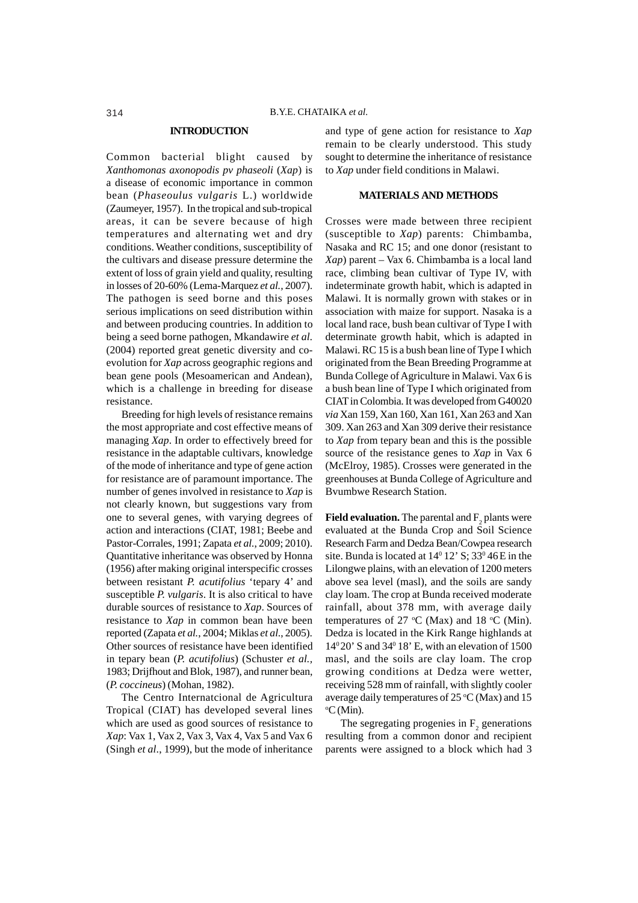#### **INTRODUCTION**

Common bacterial blight caused by *Xanthomonas axonopodis pv phaseoli* (*Xap*) is a disease of economic importance in common bean (*Phaseoulus vulgaris* L.) worldwide (Zaumeyer, 1957). In the tropical and sub-tropical areas, it can be severe because of high temperatures and alternating wet and dry conditions. Weather conditions, susceptibility of the cultivars and disease pressure determine the extent of loss of grain yield and quality, resulting in losses of 20-60% (Lema-Marquez *et al.,* 2007). The pathogen is seed borne and this poses serious implications on seed distribution within and between producing countries. In addition to being a seed borne pathogen, Mkandawire *et al.* (2004) reported great genetic diversity and coevolution for *Xap* across geographic regions and bean gene pools (Mesoamerican and Andean), which is a challenge in breeding for disease resistance.

Breeding for high levels of resistance remains the most appropriate and cost effective means of managing *Xap*. In order to effectively breed for resistance in the adaptable cultivars, knowledge of the mode of inheritance and type of gene action for resistance are of paramount importance. The number of genes involved in resistance to *Xap* is not clearly known, but suggestions vary from one to several genes, with varying degrees of action and interactions (CIAT, 1981; Beebe and Pastor-Corrales, 1991; Zapata *et al.*, 2009; 2010). Quantitative inheritance was observed by Honna (1956) after making original interspecific crosses between resistant *P. acutifolius* 'tepary 4' and susceptible *P. vulgaris*. It is also critical to have durable sources of resistance to *Xap*. Sources of resistance to *Xap* in common bean have been reported (Zapata *et al.*, 2004; Miklas *et al*., 2005). Other sources of resistance have been identified in tepary bean (*P. acutifolius*) (Schuster *et al.,* 1983; Drijfhout and Blok, 1987), and runner bean, (*P. coccineus*) (Mohan, 1982).

The Centro Internatcional de Agricultura Tropical (CIAT) has developed several lines which are used as good sources of resistance to *Xap*: Vax 1, Vax 2, Vax 3, Vax 4, Vax 5 and Vax 6 (Singh *et al*., 1999), but the mode of inheritance

and type of gene action for resistance to *Xap* remain to be clearly understood. This study sought to determine the inheritance of resistance to *Xap* under field conditions in Malawi.

## **MATERIALS AND METHODS**

Crosses were made between three recipient (susceptible to *Xap*) parents: Chimbamba, Nasaka and RC 15; and one donor (resistant to *Xap*) parent – Vax 6. Chimbamba is a local land race, climbing bean cultivar of Type IV, with indeterminate growth habit, which is adapted in Malawi. It is normally grown with stakes or in association with maize for support. Nasaka is a local land race, bush bean cultivar of Type I with determinate growth habit, which is adapted in Malawi. RC 15 is a bush bean line of Type I which originated from the Bean Breeding Programme at Bunda College of Agriculture in Malawi. Vax 6 is a bush bean line of Type I which originated from CIAT in Colombia. It was developed from G40020 *via* Xan 159, Xan 160, Xan 161, Xan 263 and Xan 309. Xan 263 and Xan 309 derive their resistance to *Xap* from tepary bean and this is the possible source of the resistance genes to *Xap* in Vax 6 (McElroy, 1985). Crosses were generated in the greenhouses at Bunda College of Agriculture and Bvumbwe Research Station.

**Field evaluation.** The parental and  $\mathsf{F}_2$  plants were evaluated at the Bunda Crop and Soil Science Research Farm and Dedza Bean/Cowpea research site. Bunda is located at  $14^{\circ}$  12' S; 33 $^{\circ}$ 46E in the Lilongwe plains, with an elevation of 1200 meters above sea level (masl), and the soils are sandy clay loam. The crop at Bunda received moderate rainfall, about 378 mm, with average daily temperatures of 27 °C (Max) and 18 °C (Min). Dedza is located in the Kirk Range highlands at  $14^{\circ}20'$  S and  $34^{\circ}18'$  E, with an elevation of 1500 masl, and the soils are clay loam. The crop growing conditions at Dedza were wetter, receiving 528 mm of rainfall, with slightly cooler average daily temperatures of  $25 \text{ °C}$  (Max) and 15 o C (Min).

The segregating progenies in  $F_2$  generations resulting from a common donor and recipient parents were assigned to a block which had 3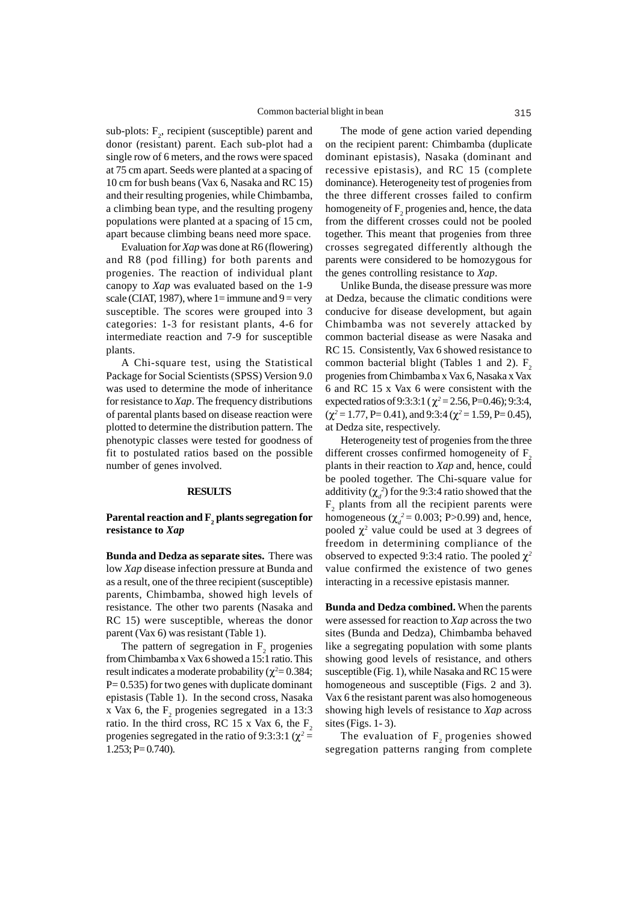sub-plots:  $F_2$ , recipient (susceptible) parent and donor (resistant) parent. Each sub-plot had a single row of 6 meters, and the rows were spaced at 75 cm apart. Seeds were planted at a spacing of 10 cm for bush beans (Vax 6, Nasaka and RC 15) and their resulting progenies, while Chimbamba, a climbing bean type, and the resulting progeny populations were planted at a spacing of 15 cm, apart because climbing beans need more space.

Evaluation for *Xap* was done at R6 (flowering) and R8 (pod filling) for both parents and progenies. The reaction of individual plant canopy to *Xap* was evaluated based on the 1-9 scale (CIAT, 1987), where  $1=$  immune and  $9=$  very susceptible. The scores were grouped into 3 categories: 1-3 for resistant plants, 4-6 for intermediate reaction and 7-9 for susceptible plants.

A Chi-square test, using the Statistical Package for Social Scientists (SPSS) Version 9.0 was used to determine the mode of inheritance for resistance to *Xap*. The frequency distributions of parental plants based on disease reaction were plotted to determine the distribution pattern. The phenotypic classes were tested for goodness of fit to postulated ratios based on the possible number of genes involved.

### **RESULTS**

## **Parental reaction and F2 plants segregation for resistance to** *Xap*

**Bunda and Dedza as separate sites.** There was low *Xap* disease infection pressure at Bunda and as a result, one of the three recipient (susceptible) parents, Chimbamba, showed high levels of resistance. The other two parents (Nasaka and RC 15) were susceptible, whereas the donor parent (Vax 6) was resistant (Table 1).

The pattern of segregation in  $F_2$  progenies from Chimbamba x Vax 6 showed a 15:1 ratio. This result indicates a moderate probability ( $\chi^2$  = 0.384;  $P= 0.535$ ) for two genes with duplicate dominant epistasis (Table 1). In the second cross, Nasaka x Vax 6, the  $F_2$  progenies segregated in a 13:3 ratio. In the third cross, RC 15 x Vax 6, the  $F_2$ progenies segregated in the ratio of 9:3:3:1 ( $\chi^2$  =  $1.253$ ; P= 0.740).

The mode of gene action varied depending on the recipient parent: Chimbamba (duplicate dominant epistasis), Nasaka (dominant and recessive epistasis), and RC 15 (complete dominance). Heterogeneity test of progenies from the three different crosses failed to confirm homogeneity of  $F_2$  progenies and, hence, the data from the different crosses could not be pooled together. This meant that progenies from three crosses segregated differently although the parents were considered to be homozygous for the genes controlling resistance to *Xap*.

Unlike Bunda, the disease pressure was more at Dedza, because the climatic conditions were conducive for disease development, but again Chimbamba was not severely attacked by common bacterial disease as were Nasaka and RC 15. Consistently, Vax 6 showed resistance to common bacterial blight (Tables 1 and 2).  $F<sub>2</sub>$ progenies from Chimbamba x Vax 6, Nasaka x Vax 6 and RC 15 x Vax 6 were consistent with the expected ratios of 9:3:3:1 ( $\chi^2$  = 2.56, P=0.46); 9:3:4,  $(\chi^2 = 1.77, P = 0.41)$ , and 9:3:4 ( $\chi^2 = 1.59, P = 0.45$ ), at Dedza site, respectively.

Heterogeneity test of progenies from the three different crosses confirmed homogeneity of  $F<sub>2</sub>$ plants in their reaction to *Xap* and, hence, could be pooled together. The Chi-square value for additivity  $(\chi_d^2)$  for the 9:3:4 ratio showed that the  $F_2$  plants from all the recipient parents were homogeneous ( $\chi_d^2$  = 0.003; P>0.99) and, hence, pooled  $\chi^2$  value could be used at 3 degrees of freedom in determining compliance of the observed to expected 9:3:4 ratio. The pooled χ*<sup>2</sup>* value confirmed the existence of two genes interacting in a recessive epistasis manner.

**Bunda and Dedza combined.** When the parents were assessed for reaction to *Xap* across the two sites (Bunda and Dedza), Chimbamba behaved like a segregating population with some plants showing good levels of resistance, and others susceptible (Fig. 1), while Nasaka and RC 15 were homogeneous and susceptible (Figs. 2 and 3). Vax 6 the resistant parent was also homogeneous showing high levels of resistance to *Xap* across sites (Figs. 1- 3).

The evaluation of  $F<sub>2</sub>$  progenies showed segregation patterns ranging from complete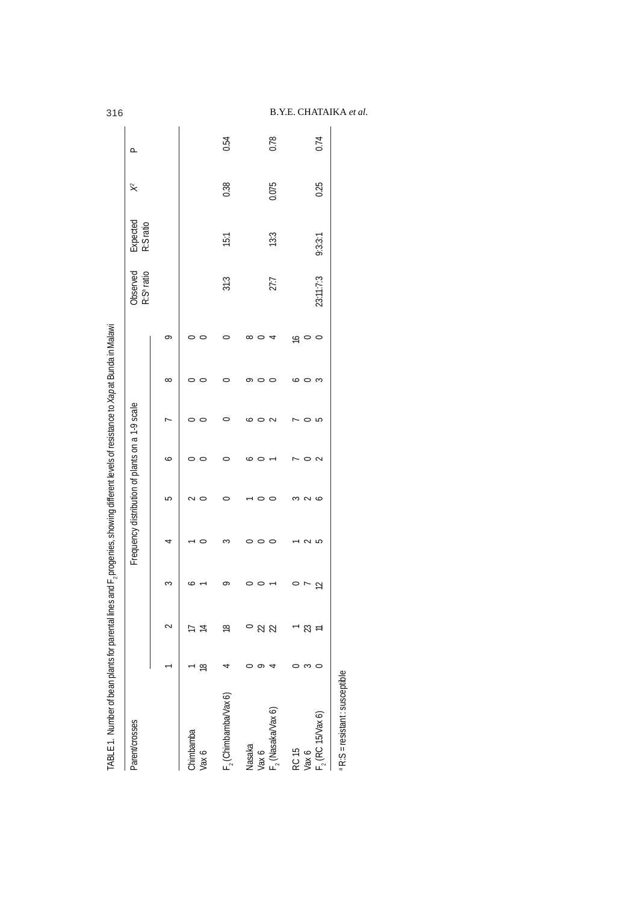|                        |           |           |                      | Frequency distribution of plants on a 1-9 scale |         |                          |              |              |                     | R:S <sup>ª</sup> ratio<br>Observed | Expected<br>R:Sratio | $\approx$ | ≏    |
|------------------------|-----------|-----------|----------------------|-------------------------------------------------|---------|--------------------------|--------------|--------------|---------------------|------------------------------------|----------------------|-----------|------|
|                        |           |           | ξ                    | 4                                               | 5       | ∘                        |              | $\infty$     | $\circ$             |                                    |                      |           |      |
| Chimbamba<br>Vax 6     | $\approx$ |           |                      | $\circ$                                         |         | $\circ$                  |              |              |                     |                                    |                      |           |      |
| $F2$ (Chimbamba/Vax 6) |           | ≌         | ∽                    | S                                               |         |                          |              |              |                     | 31:3                               | 15.1                 | 0.38      | 0.54 |
| Nasaka<br>Vax 6        |           | $\approx$ | $\circ$              | $\circ$                                         | $\circ$ | $\circ$                  | $\circ$<br>◡ | q<br>$\circ$ | $\infty$<br>$\circ$ |                                    |                      |           |      |
| $F2$ (Nasaka/Vax 6)    |           | $\approx$ |                      | $\circ$                                         | $\circ$ | $\overline{\phantom{a}}$ | $\sim$       | $\circ$      | 4                   | 27:7                               | 13:3                 | 0.075     | 0.78 |
| RC 15                  |           |           | $\circ$              |                                                 |         |                          |              | $\bullet$    |                     |                                    |                      |           |      |
| Vax 6                  | S         | g         |                      | 2<br>2<br>5                                     | $\sim$  | $\circ$                  | o n          | $\circ$      | $\frac{1}{2}$       |                                    |                      |           |      |
| $F2$ (RC 15/Vax 6)     |           |           | $\tilde{\mathbf{u}}$ |                                                 | $\sim$  | $\sim$                   |              | 3            | $\circ$             | 23:11:7:3                          | 9:3:3:1              | 0.25      | 0.74 |

# 316 B.Y.E. CHATAIKA *et al.*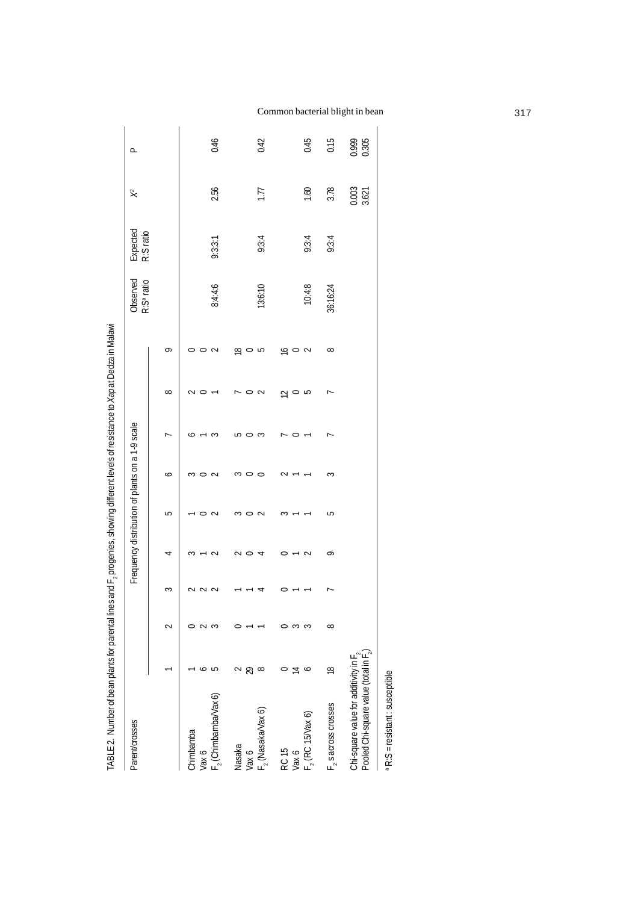| Parent/crosses                                                              |           |   |   |                 |        | Frequency distribution of plants on a 1-9 scale |   |          |            | Observed<br>R:S <sup>ª</sup> ratio | Expected<br>R:S ratio | $\approx$      | ൧              |
|-----------------------------------------------------------------------------|-----------|---|---|-----------------|--------|-------------------------------------------------|---|----------|------------|------------------------------------|-----------------------|----------------|----------------|
|                                                                             |           |   | ς | 4               | 5      | ∘                                               |   | $\infty$ | ᡋ          |                                    |                       |                |                |
| Chimbamba                                                                   |           |   |   |                 |        |                                                 |   |          |            |                                    |                       |                |                |
| Vax 6                                                                       |           |   |   |                 |        |                                                 |   |          |            |                                    |                       |                |                |
| $F2$ (Chimbamba/Vax 6)                                                      |           |   |   | $\epsilon$<br>⇃ | $\sim$ | $\sim$                                          | S |          | ¢          | 8:4:4:6                            | 9:3:3:1               | 2.56           | 0.46           |
| Nasaka                                                                      |           |   |   |                 | ∽      |                                                 | ഥ |          | ഇ          |                                    |                       |                |                |
| Vax 6                                                                       |           |   |   |                 |        |                                                 | ⊂ | C        |            |                                    |                       |                |                |
| $F2$ (Nasaka/Vax 6)                                                         |           |   |   | ₹               | $\sim$ | 0                                               | S | $\sim$   | 5          | 13:6:10                            | 9:3:4                 | 1.77           | 0.42           |
| RC 15                                                                       |           |   |   |                 | S      | c                                               |   | ∾        | $\approx$  |                                    |                       |                |                |
| Vax 6                                                                       |           |   |   |                 |        |                                                 | ⊂ | $\circ$  |            |                                    |                       |                |                |
| $F2$ (RC 15/Vax 6)                                                          | ∘         | S |   | ¢               |        |                                                 |   | 5        | $\sim$     | 10:4:8                             | 9:3:4                 | 1.60           | 0.45           |
| $F2$ s across crosses                                                       | $\approx$ | ∞ |   | ò               | 5      | 3                                               | r | ٣        | $^{\circ}$ | 36:16:24                           | 9:3:4                 | 3.78           | 0.15           |
| Pooled Chi-square value (total in F.)<br>Chi-square value for additivity in |           |   |   |                 |        |                                                 |   |          |            |                                    |                       | 0.003<br>3.621 | 0.999<br>0.305 |
|                                                                             |           |   |   |                 |        |                                                 |   |          |            |                                    |                       |                |                |

<sup>a</sup> R:S = resistant : susceptible a R:S = resistant : susceptible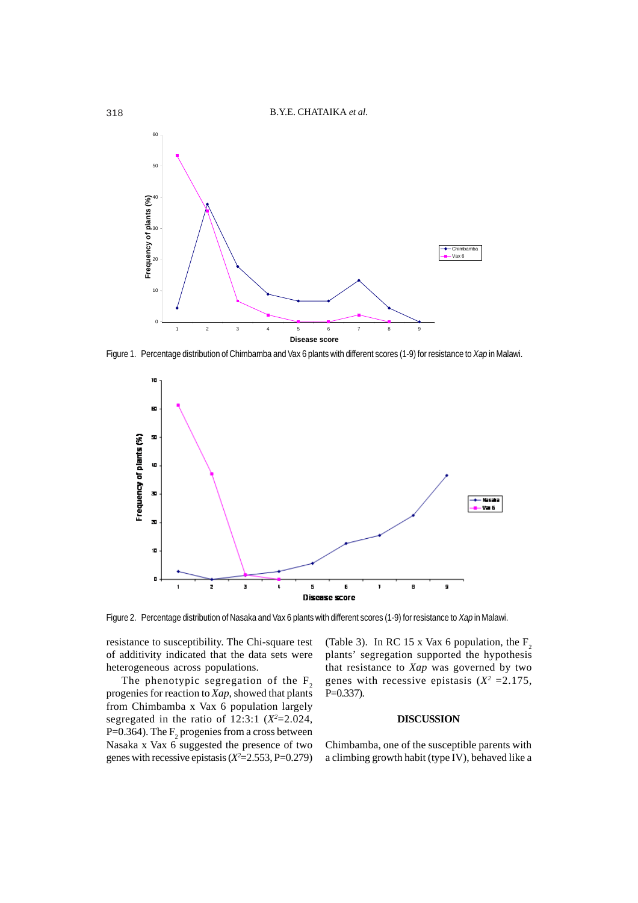

Figure 1. Percentage distribution of Chimbamba and Vax 6 plants with different scores (1-9) for resistance to *Xap* in Malawi.



Figure 2. Percentage distribution of Nasaka and Vax 6 plants with different scores (1-9) for resistance to *Xap* in Malawi.

resistance to susceptibility. The Chi-square test of additivity indicated that the data sets were heterogeneous across populations.

The phenotypic segregation of the  $F_2$ progenies for reaction to *Xap*, showed that plants from Chimbamba x Vax 6 population largely segregated in the ratio of  $12:3:1 \ (X^2=2.024,$ P=0.364). The  $\mathrm{F}_2$  progenies from a cross between Nasaka x Vax 6 suggested the presence of two genes with recessive epistasis  $(X^2=2.553, P=0.279)$ 

(Table 3). In RC 15 x Vax 6 population, the  $F_2$ plants' segregation supported the hypothesis that resistance to *Xap* was governed by two genes with recessive epistasis  $(X^2 = 2.175,$ P=0.337).

## **DISCUSSION**

Chimbamba, one of the susceptible parents with a climbing growth habit (type IV), behaved like a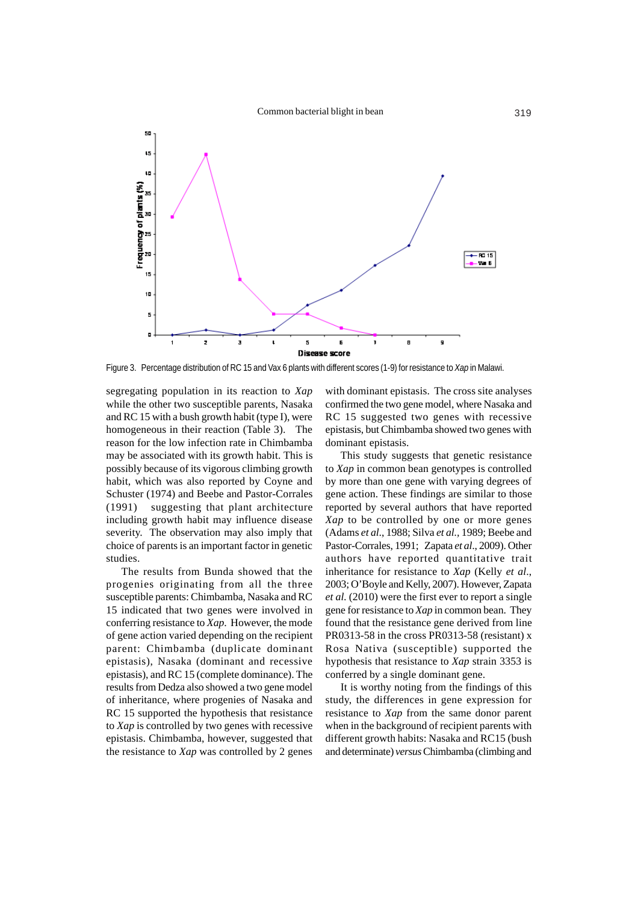

Figure 3. Percentage distribution of RC 15 and Vax 6 plants with different scores (1-9) for resistance to *Xap* in Malawi.

segregating population in its reaction to *Xap* while the other two susceptible parents, Nasaka and RC 15 with a bush growth habit (type I), were homogeneous in their reaction (Table 3). The reason for the low infection rate in Chimbamba may be associated with its growth habit. This is possibly because of its vigorous climbing growth habit, which was also reported by Coyne and Schuster (1974) and Beebe and Pastor-Corrales (1991) suggesting that plant architecture including growth habit may influence disease severity. The observation may also imply that choice of parents is an important factor in genetic studies.

The results from Bunda showed that the progenies originating from all the three susceptible parents: Chimbamba, Nasaka and RC 15 indicated that two genes were involved in conferring resistance to *Xap*. However, the mode of gene action varied depending on the recipient parent: Chimbamba (duplicate dominant epistasis), Nasaka (dominant and recessive epistasis), and RC 15 (complete dominance). The results from Dedza also showed a two gene model of inheritance, where progenies of Nasaka and RC 15 supported the hypothesis that resistance to *Xap* is controlled by two genes with recessive epistasis. Chimbamba, however, suggested that the resistance to *Xap* was controlled by 2 genes

with dominant epistasis. The cross site analyses confirmed the two gene model, where Nasaka and RC 15 suggested two genes with recessive epistasis, but Chimbamba showed two genes with dominant epistasis.

This study suggests that genetic resistance to *Xap* in common bean genotypes is controlled by more than one gene with varying degrees of gene action. These findings are similar to those reported by several authors that have reported *Xap* to be controlled by one or more genes (Adams *et al*., 1988; Silva *et al.,* 1989; Beebe and Pastor-Corrales, 1991; Zapata *et al*., 2009). Other authors have reported quantitative trait inheritance for resistance to *Xap* (Kelly *et al*., 2003; O'Boyle and Kelly, 2007). However, Zapata *et al.* (2010) were the first ever to report a single gene for resistance to *Xap* in common bean. They found that the resistance gene derived from line PR0313-58 in the cross PR0313-58 (resistant) x Rosa Nativa (susceptible) supported the hypothesis that resistance to *Xap* strain 3353 is conferred by a single dominant gene.

It is worthy noting from the findings of this study, the differences in gene expression for resistance to *Xap* from the same donor parent when in the background of recipient parents with different growth habits: Nasaka and RC15 (bush and determinate) *versus* Chimbamba (climbing and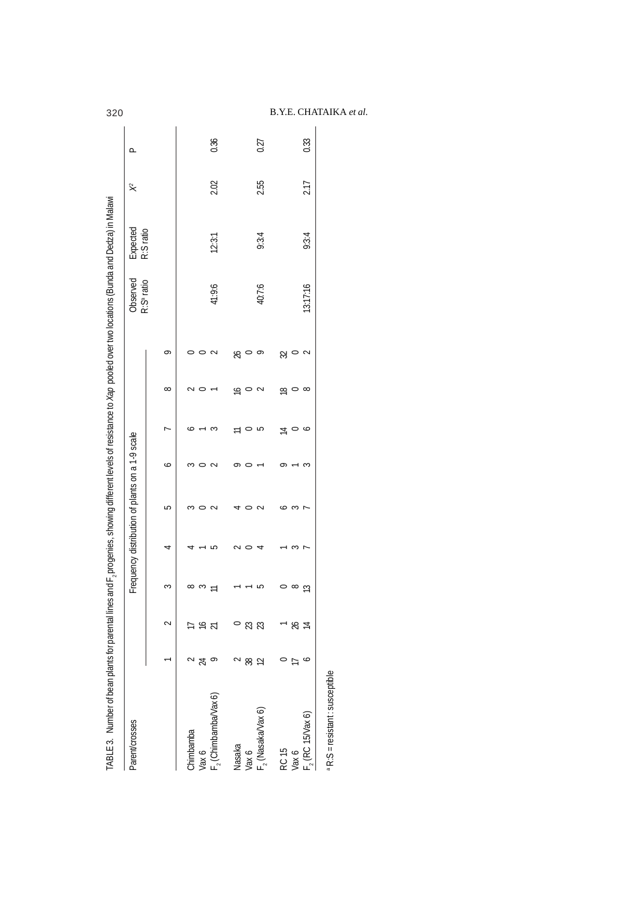| Parent/crosses                   |    |                |          | Frequency distribution of plants on a 1-9 scale |         |         |                |          |             | Observed<br>R:S <sup>ª</sup> ratio | Expected<br>R:S ratio | $\approx$ | ൧    |
|----------------------------------|----|----------------|----------|-------------------------------------------------|---------|---------|----------------|----------|-------------|------------------------------------|-----------------------|-----------|------|
|                                  |    |                | S        | 4                                               | 5       | ∘       |                | $\infty$ | P           |                                    |                       |           |      |
| Chimbamba                        |    |                | $\infty$ |                                                 |         |         |                |          |             |                                    |                       |           |      |
| Vax 6                            | ಸ  | ⋍              | S        |                                                 | $\circ$ | ຕ ⊂     |                |          | $\circ$     |                                    |                       |           |      |
| F <sub>,</sub> (Chimbamba/Vax 6) |    | Σ              |          | 5                                               | $\sim$  | $\sim$  | S              |          | $\sim$      | 41:9:6                             | 12:3:1                | 2.02      | 0.36 |
| Nasaka                           |    |                |          |                                                 | ₹       | ᡋ       | $\equiv$       | ð        | $\%$        |                                    |                       |           |      |
| Vax 6                            | 88 | R              |          | $\circ$                                         |         | $\circ$ | $\circ$        | $\circ$  | $\circ$     |                                    |                       |           |      |
| F, (Nasaka/Vax 6)                | 12 | Z              | 5        |                                                 | $\sim$  |         | 5              | $\sim$   | $\circ$     | 40:7:6                             | 9:3:4                 | 2.55      | 0.27 |
| RC 15                            |    |                |          |                                                 | ∽       | ᡋ       | $\overline{4}$ | ₽        |             |                                    |                       |           |      |
| Vax 6                            |    | X              | $\infty$ | ξ                                               | S       |         |                | $\circ$  | $\approx$ 0 |                                    |                       |           |      |
| $F2$ (RC 15/Vax 6)               |    | $\overline{4}$ | ß        | r                                               |         | ξ       | P              | $\infty$ | $\sim$      | 13:17:16                           | 9:3:4                 | 2.17      | 0.33 |

# 320 B.Y.E. CHATAIKA *et al.*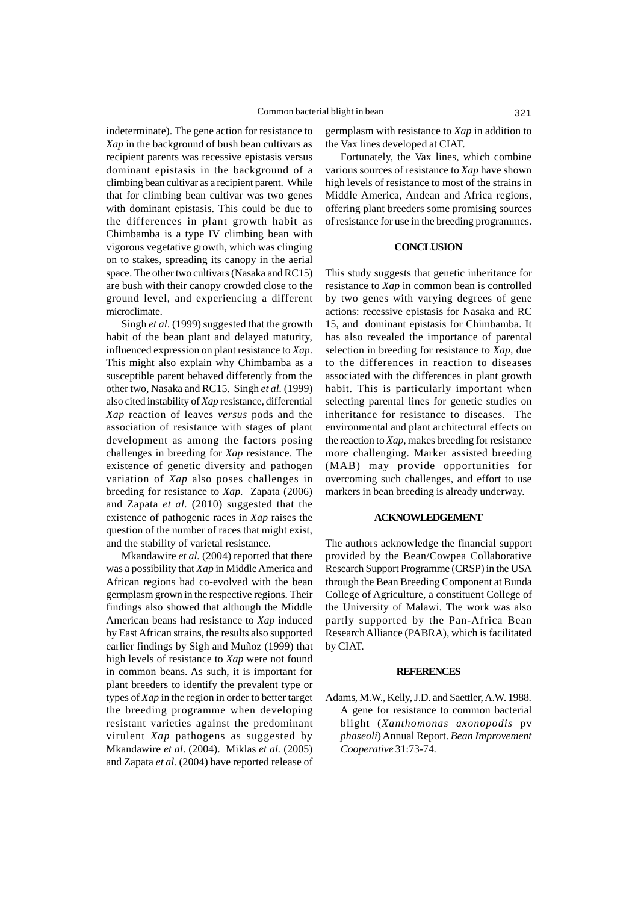indeterminate). The gene action for resistance to *Xap* in the background of bush bean cultivars as recipient parents was recessive epistasis versus dominant epistasis in the background of a climbing bean cultivar as a recipient parent. While that for climbing bean cultivar was two genes with dominant epistasis. This could be due to the differences in plant growth habit as Chimbamba is a type IV climbing bean with vigorous vegetative growth, which was clinging on to stakes, spreading its canopy in the aerial space. The other two cultivars (Nasaka and RC15) are bush with their canopy crowded close to the ground level, and experiencing a different microclimate.

Singh *et al*. (1999) suggested that the growth habit of the bean plant and delayed maturity, influenced expression on plant resistance to *Xap*. This might also explain why Chimbamba as a susceptible parent behaved differently from the other two, Nasaka and RC15. Singh *et al.* (1999) also cited instability of *Xap* resistance, differential *Xap* reaction of leaves *versus* pods and the association of resistance with stages of plant development as among the factors posing challenges in breeding for *Xap* resistance. The existence of genetic diversity and pathogen variation of *Xap* also poses challenges in breeding for resistance to *Xap*. Zapata (2006) and Zapata *et al.* (2010) suggested that the existence of pathogenic races in *Xap* raises the question of the number of races that might exist, and the stability of varietal resistance.

Mkandawire *et al.* (2004) reported that there was a possibility that *Xap* in Middle America and African regions had co-evolved with the bean germplasm grown in the respective regions. Their findings also showed that although the Middle American beans had resistance to *Xap* induced by East African strains, the results also supported earlier findings by Sigh and Muñoz (1999) that high levels of resistance to *Xap* were not found in common beans. As such, it is important for plant breeders to identify the prevalent type or types of *Xap* in the region in order to better target the breeding programme when developing resistant varieties against the predominant virulent *Xap* pathogens as suggested by Mkandawire *et al*. (2004). Miklas *et al.* (2005) and Zapata *et al.* (2004) have reported release of germplasm with resistance to *Xap* in addition to the Vax lines developed at CIAT.

Fortunately, the Vax lines, which combine various sources of resistance to *Xap* have shown high levels of resistance to most of the strains in Middle America, Andean and Africa regions, offering plant breeders some promising sources of resistance for use in the breeding programmes.

### **CONCLUSION**

This study suggests that genetic inheritance for resistance to *Xap* in common bean is controlled by two genes with varying degrees of gene actions: recessive epistasis for Nasaka and RC 15, and dominant epistasis for Chimbamba. It has also revealed the importance of parental selection in breeding for resistance to *Xap,* due to the differences in reaction to diseases associated with the differences in plant growth habit. This is particularly important when selecting parental lines for genetic studies on inheritance for resistance to diseases. The environmental and plant architectural effects on the reaction to *Xap,* makes breeding for resistance more challenging. Marker assisted breeding (MAB) may provide opportunities for overcoming such challenges, and effort to use markers in bean breeding is already underway.

### **ACKNOWLEDGEMENT**

The authors acknowledge the financial support provided by the Bean/Cowpea Collaborative Research Support Programme (CRSP) in the USA through the Bean Breeding Component at Bunda College of Agriculture, a constituent College of the University of Malawi. The work was also partly supported by the Pan-Africa Bean Research Alliance (PABRA), which is facilitated by CIAT.

### **REFERENCES**

Adams, M.W., Kelly, J.D. and Saettler, A.W. 1988. A gene for resistance to common bacterial blight (*Xanthomonas axonopodis* pv *phaseoli*) Annual Report. *Bean Improvement Cooperative* 31:73-74.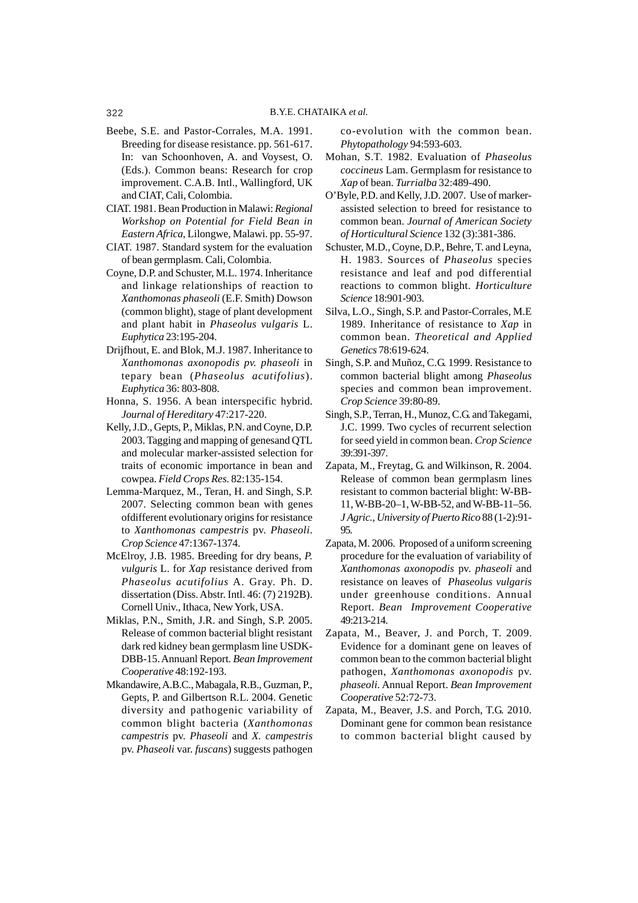## 322 B.Y.E. CHATAIKA *et al.*

- Beebe, S.E. and Pastor-Corrales, M.A. 1991. Breeding for disease resistance. pp. 561-617. In: van Schoonhoven, A. and Voysest, O. (Eds.). Common beans: Research for crop improvement. C.A.B. Intl., Wallingford, UK and CIAT, Cali, Colombia.
- CIAT. 1981. Bean Production in Malawi: *Regional Workshop on Potential for Field Bean in Eastern Africa*, Lilongwe, Malawi. pp. 55-97.
- CIAT. 1987. Standard system for the evaluation of bean germplasm. Cali, Colombia.
- Coyne, D.P. and Schuster, M.L. 1974. Inheritance and linkage relationships of reaction to *Xanthomonas phaseoli* (E.F. Smith) Dowson (common blight), stage of plant development and plant habit in *Phaseolus vulgaris* L. *Euphytica* 23:195-204.
- Drijfhout, E. and Blok, M.J. 1987. Inheritance to *Xanthomonas axonopodis pv. phaseoli* in tepary bean (*Phaseolus acutifolius*). *Euphytica* 36: 803-808.
- Honna, S. 1956. A bean interspecific hybrid. *Journal of Hereditary* 47:217-220.
- Kelly, J.D., Gepts, P., Miklas, P.N. and Coyne, D.P. 2003. Tagging and mapping of genesand QTL and molecular marker-assisted selection for traits of economic importance in bean and cowpea. *Field Crops Res*. 82:135-154.
- Lemma-Marquez, M., Teran, H. and Singh, S.P. 2007. Selecting common bean with genes ofdifferent evolutionary origins for resistance to *Xanthomonas campestris* pv. *Phaseoli*. *Crop Science* 47:1367-1374.
- McElroy, J.B. 1985. Breeding for dry beans, *P. vulguris* L. for *Xap* resistance derived from *Phaseolus acutifolius* A. Gray. Ph. D. dissertation (Diss. Abstr. Intl. 46: (7) 2192B). Cornell Univ., Ithaca, New York, USA.
- Miklas, P.N., Smith, J.R. and Singh, S.P. 2005. Release of common bacterial blight resistant dark red kidney bean germplasm line USDK-DBB-15. Annuanl Report*. Bean Improvement Cooperative* 48:192-193.
- Mkandawire, A.B.C., Mabagala, R.B., Guzman, P., Gepts, P. and Gilbertson R.L. 2004. Genetic diversity and pathogenic variability of common blight bacteria (*Xanthomonas campestris* pv. *Phaseoli* and *X. campestris* pv. *Phaseoli* var. *fuscans*) suggests pathogen

co-evolution with the common bean. *Phytopathology* 94:593-603.

- Mohan, S.T. 1982. Evaluation of *Phaseolus coccineus* Lam. Germplasm for resistance to *Xap* of bean. *Turrialba* 32:489-490.
- O'Byle, P.D. and Kelly, J.D. 2007. Use of markerassisted selection to breed for resistance to common bean. *Journal of American Society of Horticultural Science* 132 (3):381-386.
- Schuster, M.D., Coyne, D.P., Behre, T. and Leyna, H. 1983. Sources of *Phaseolus* species resistance and leaf and pod differential reactions to common blight. *Horticulture Science* 18:901-903.
- Silva, L.O., Singh, S.P. and Pastor-Corrales, M.E 1989. Inheritance of resistance to *Xap* in common bean. *Theoretical and Applied Genetics* 78:619-624.
- Singh, S.P. and Muñoz, C.G. 1999. Resistance to common bacterial blight among *Phaseolus* species and common bean improvement. *Crop Science* 39:80-89.
- Singh, S.P., Terran, H., Munoz, C.G. and Takegami, J.C. 1999. Two cycles of recurrent selection for seed yield in common bean. *Crop Science* 39:391-397.
- Zapata, M., Freytag, G. and Wilkinson, R. 2004. Release of common bean germplasm lines resistant to common bacterial blight: W-BB-11, W-BB-20–1, W-BB-52, and W-BB-11–56. *J Agric., University of Puerto Rico* 88 (1-2):91- 95.
- Zapata, M. 2006. Proposed of a uniform screening procedure for the evaluation of variability of *Xanthomonas axonopodis* pv. *phaseoli* and resistance on leaves of *Phaseolus vulgaris* under greenhouse conditions. Annual Report. *Bean Improvement Cooperative* 49:213-214.
- Zapata, M., Beaver, J. and Porch, T. 2009. Evidence for a dominant gene on leaves of common bean to the common bacterial blight pathogen, *Xanthomonas axonopodis* pv. *phaseoli*. Annual Report. *Bean Improvement Cooperative* 52:72-73.
- Zapata, M., Beaver, J.S. and Porch, T.G. 2010. Dominant gene for common bean resistance to common bacterial blight caused by